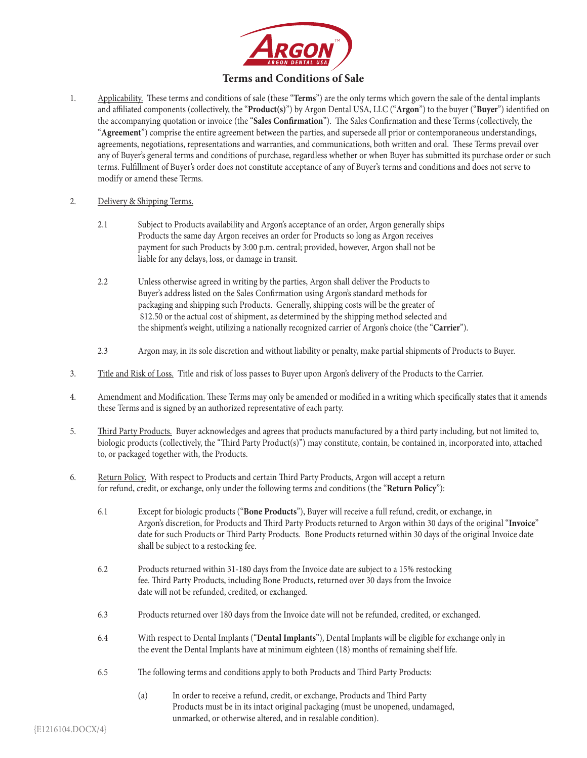

# **Terms and Conditions of Sale**

1. Applicability. These terms and conditions of sale (these "**Terms**") are the only terms which govern the sale of the dental implants and affiliated components (collectively, the "**Product(s)**") by Argon Dental USA, LLC ("**Argon**") to the buyer ("**Buyer**") identified on the accompanying quotation or invoice (the "**Sales Confirmation**"). The Sales Confirmation and these Terms (collectively, the "**Agreement**") comprise the entire agreement between the parties, and supersede all prior or contemporaneous understandings, agreements, negotiations, representations and warranties, and communications, both written and oral. These Terms prevail over any of Buyer's general terms and conditions of purchase, regardless whether or when Buyer has submitted its purchase order or such terms. Fulfillment of Buyer's order does not constitute acceptance of any of Buyer's terms and conditions and does not serve to modify or amend these Terms.

#### 2. Delivery & Shipping Terms.

- 2.1 Subject to Products availability and Argon's acceptance of an order, Argon generally ships Products the same day Argon receives an order for Products so long as Argon receives payment for such Products by 3:00 p.m. central; provided, however, Argon shall not be liable for any delays, loss, or damage in transit.
- 2.2 Unless otherwise agreed in writing by the parties, Argon shall deliver the Products to Buyer's address listed on the Sales Confirmation using Argon's standard methods for packaging and shipping such Products. Generally, shipping costs will be the greater of \$12.50 or the actual cost of shipment, as determined by the shipping method selected and the shipment's weight, utilizing a nationally recognized carrier of Argon's choice (the "**Carrier**").
- 2.3 Argon may, in its sole discretion and without liability or penalty, make partial shipments of Products to Buyer.
- 3. Title and Risk of Loss. Title and risk of loss passes to Buyer upon Argon's delivery of the Products to the Carrier.
- 4. Amendment and Modification. These Terms may only be amended or modified in a writing which specifically states that it amends these Terms and is signed by an authorized representative of each party.
- 5. Third Party Products. Buyer acknowledges and agrees that products manufactured by a third party including, but not limited to, biologic products (collectively, the "Third Party Product(s)") may constitute, contain, be contained in, incorporated into, attached to, or packaged together with, the Products.
- 6. Return Policy. With respect to Products and certain Third Party Products, Argon will accept a return for refund, credit, or exchange, only under the following terms and conditions (the "**Return Policy**"):
	- 6.1 Except for biologic products ("**Bone Products**"), Buyer will receive a full refund, credit, or exchange, in Argon's discretion, for Products and Third Party Products returned to Argon within 30 days of the original "**Invoice**" date for such Products or Third Party Products. Bone Products returned within 30 days of the original Invoice date shall be subject to a restocking fee.
	- 6.2 Products returned within 31-180 days from the Invoice date are subject to a 15% restocking fee. Third Party Products, including Bone Products, returned over 30 days from the Invoice date will not be refunded, credited, or exchanged.
	- 6.3 Products returned over 180 days from the Invoice date will not be refunded, credited, or exchanged.
	- 6.4 With respect to Dental Implants ("**Dental Implants**"), Dental Implants will be eligible for exchange only in the event the Dental Implants have at minimum eighteen (18) months of remaining shelf life.
	- 6.5 The following terms and conditions apply to both Products and Third Party Products:
		- (a) In order to receive a refund, credit, or exchange, Products and Third Party Products must be in its intact original packaging (must be unopened, undamaged, unmarked, or otherwise altered, and in resalable condition).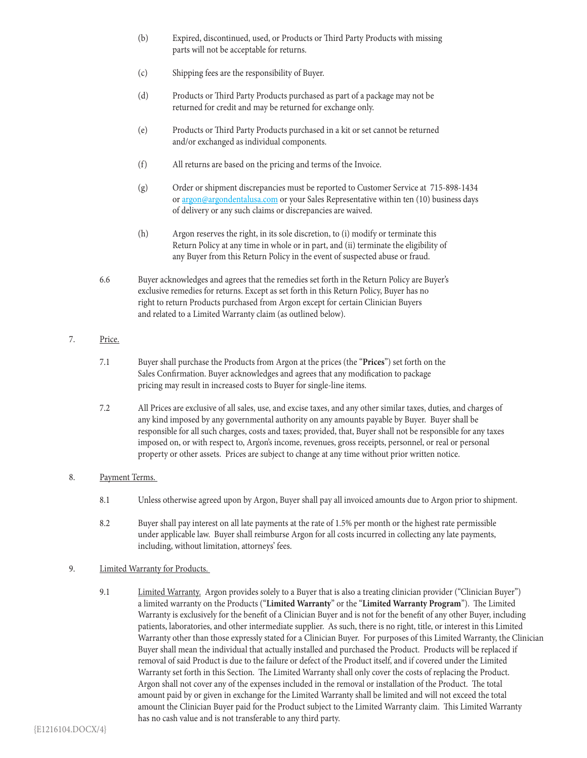- (b) Expired, discontinued, used, or Products or Third Party Products with missing parts will not be acceptable for returns.
- (c) Shipping fees are the responsibility of Buyer.
- (d) Products or Third Party Products purchased as part of a package may not be returned for credit and may be returned for exchange only.
- (e) Products or Third Party Products purchased in a kit or set cannot be returned and/or exchanged as individual components.
- (f) All returns are based on the pricing and terms of the Invoice.
- (g) Order or shipment discrepancies must be reported to Customer Service at 715-898-1434 or argon@argondentalusa.com or your Sales Representative within ten (10) business days of delivery or any such claims or discrepancies are waived.
- (h) Argon reserves the right, in its sole discretion, to (i) modify or terminate this Return Policy at any time in whole or in part, and (ii) terminate the eligibility of any Buyer from this Return Policy in the event of suspected abuse or fraud.
- 6.6 Buyer acknowledges and agrees that the remedies set forth in the Return Policy are Buyer's exclusive remedies for returns. Except as set forth in this Return Policy, Buyer has no right to return Products purchased from Argon except for certain Clinician Buyers and related to a Limited Warranty claim (as outlined below).

## 7. Price.

- 7.1 Buyer shall purchase the Products from Argon at the prices (the "**Prices**") set forth on the Sales Confirmation. Buyer acknowledges and agrees that any modification to package pricing may result in increased costs to Buyer for single-line items.
- 7.2 All Prices are exclusive of all sales, use, and excise taxes, and any other similar taxes, duties, and charges of any kind imposed by any governmental authority on any amounts payable by Buyer. Buyer shall be responsible for all such charges, costs and taxes; provided, that, Buyer shall not be responsible for any taxes imposed on, or with respect to, Argon's income, revenues, gross receipts, personnel, or real or personal property or other assets. Prices are subject to change at any time without prior written notice.

### 8. Payment Terms.

- 8.1 Unless otherwise agreed upon by Argon, Buyer shall pay all invoiced amounts due to Argon prior to shipment.
- 8.2 Buyer shall pay interest on all late payments at the rate of 1.5% per month or the highest rate permissible under applicable law. Buyer shall reimburse Argon for all costs incurred in collecting any late payments, including, without limitation, attorneys' fees.

### 9. Limited Warranty for Products.

9.1 Limited Warranty. Argon provides solely to a Buyer that is also a treating clinician provider ("Clinician Buyer") a limited warranty on the Products ("**Limited Warranty**" or the "**Limited Warranty Program**"). The Limited Warranty is exclusively for the benefit of a Clinician Buyer and is not for the benefit of any other Buyer, including patients, laboratories, and other intermediate supplier. As such, there is no right, title, or interest in this Limited Warranty other than those expressly stated for a Clinician Buyer. For purposes of this Limited Warranty, the Clinician Buyer shall mean the individual that actually installed and purchased the Product. Products will be replaced if removal of said Product is due to the failure or defect of the Product itself, and if covered under the Limited Warranty set forth in this Section. The Limited Warranty shall only cover the costs of replacing the Product. Argon shall not cover any of the expenses included in the removal or installation of the Product. The total amount paid by or given in exchange for the Limited Warranty shall be limited and will not exceed the total amount the Clinician Buyer paid for the Product subject to the Limited Warranty claim. This Limited Warranty has no cash value and is not transferable to any third party.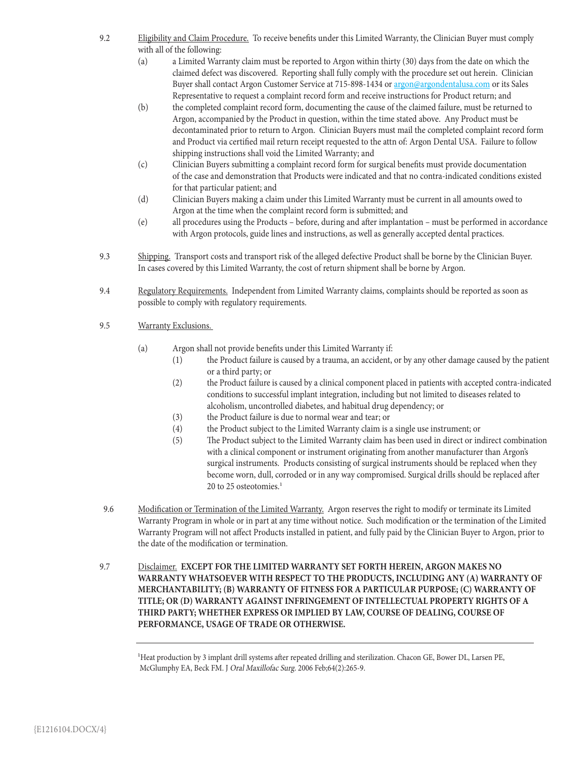- 9.2 Eligibility and Claim Procedure. To receive benefits under this Limited Warranty, the Clinician Buyer must comply with all of the following:
	- (a) a Limited Warranty claim must be reported to Argon within thirty (30) days from the date on which the claimed defect was discovered. Reporting shall fully comply with the procedure set out herein. Clinician Buyer shall contact Argon Customer Service at 715-898-1434 or argon@argondentalusa.com or its Sales Representative to request a complaint record form and receive instructions for Product return; and
	- (b) the completed complaint record form, documenting the cause of the claimed failure, must be returned to Argon, accompanied by the Product in question, within the time stated above. Any Product must be decontaminated prior to return to Argon. Clinician Buyers must mail the completed complaint record form and Product via certified mail return receipt requested to the attn of: Argon Dental USA. Failure to follow shipping instructions shall void the Limited Warranty; and
	- (c) Clinician Buyers submitting a complaint record form for surgical benefits must provide documentation of the case and demonstration that Products were indicated and that no contra-indicated conditions existed for that particular patient; and
	- (d) Clinician Buyers making a claim under this Limited Warranty must be current in all amounts owed to Argon at the time when the complaint record form is submitted; and
	- (e) all procedures using the Products before, during and after implantation must be performed in accordance with Argon protocols, guide lines and instructions, as well as generally accepted dental practices.
- 9.3 Shipping. Transport costs and transport risk of the alleged defective Product shall be borne by the Clinician Buyer. In cases covered by this Limited Warranty, the cost of return shipment shall be borne by Argon.
- 9.4 Regulatory Requirements. Independent from Limited Warranty claims, complaints should be reported as soon as possible to comply with regulatory requirements.
- 9.5 Warranty Exclusions.
	- (a) Argon shall not provide benefits under this Limited Warranty if:
		- (1) the Product failure is caused by a trauma, an accident, or by any other damage caused by the patient or a third party; or
		- (2) the Product failure is caused by a clinical component placed in patients with accepted contra-indicated conditions to successful implant integration, including but not limited to diseases related to alcoholism, uncontrolled diabetes, and habitual drug dependency; or
		- (3) the Product failure is due to normal wear and tear; or
		- (4) the Product subject to the Limited Warranty claim is a single use instrument; or
		- (5) The Product subject to the Limited Warranty claim has been used in direct or indirect combination with a clinical component or instrument originating from another manufacturer than Argon's surgical instruments. Products consisting of surgical instruments should be replaced when they become worn, dull, corroded or in any way compromised. Surgical drills should be replaced after 20 to 25 osteotomies.<sup>1</sup>
- 9.6 Modification or Termination of the Limited Warranty. Argon reserves the right to modify or terminate its Limited Warranty Program in whole or in part at any time without notice. Such modification or the termination of the Limited Warranty Program will not affect Products installed in patient, and fully paid by the Clinician Buyer to Argon, prior to the date of the modification or termination.
- 9.7 Disclaimer. **EXCEPT FOR THE LIMITED WARRANTY SET FORTH HEREIN, ARGON MAKES NO WARRANTY WHATSOEVER WITH RESPECT TO THE PRODUCTS, INCLUDING ANY (A) WARRANTY OF MERCHANTABILITY; (B) WARRANTY OF FITNESS FOR A PARTICULAR PURPOSE; (C) WARRANTY OF TITLE; OR (D) WARRANTY AGAINST INFRINGEMENT OF INTELLECTUAL PROPERTY RIGHTS OF A THIRD PARTY; WHETHER EXPRESS OR IMPLIED BY LAW, COURSE OF DEALING, COURSE OF PERFORMANCE, USAGE OF TRADE OR OTHERWISE.**

<sup>1</sup>Heat production by 3 implant drill systems after repeated drilling and sterilization. Chacon GE, Bower DL, Larsen PE, McGlumphy EA, Beck FM. J Oral Maxillofac Surg. 2006 Feb;64(2):265-9.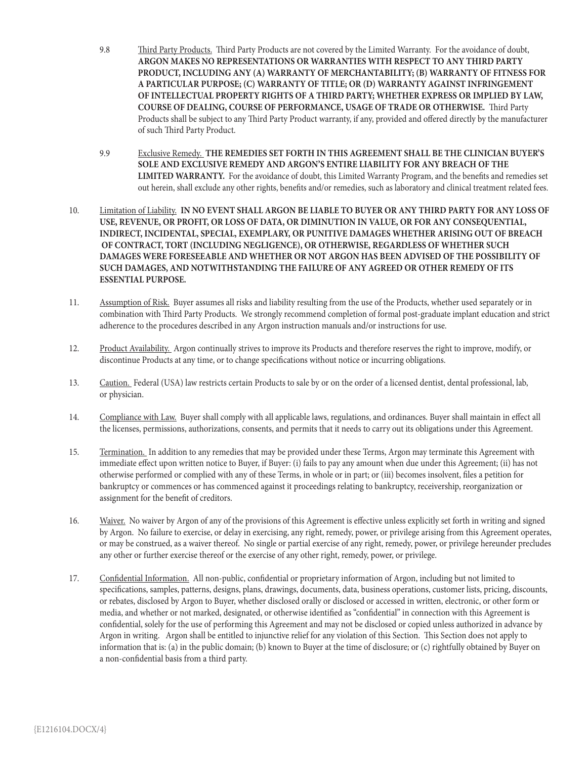- 9.8 Third Party Products. Third Party Products are not covered by the Limited Warranty. For the avoidance of doubt, **ARGON MAKES NO REPRESENTATIONS OR WARRANTIES WITH RESPECT TO ANY THIRD PARTY PRODUCT, INCLUDING ANY (A) WARRANTY OF MERCHANTABILITY; (B) WARRANTY OF FITNESS FOR A PARTICULAR PURPOSE; (C) WARRANTY OF TITLE; OR (D) WARRANTY AGAINST INFRINGEMENT OF INTELLECTUAL PROPERTY RIGHTS OF A THIRD PARTY; WHETHER EXPRESS OR IMPLIED BY LAW, COURSE OF DEALING, COURSE OF PERFORMANCE, USAGE OF TRADE OR OTHERWISE.** Third Party Products shall be subject to any Third Party Product warranty, if any, provided and offered directly by the manufacturer of such Third Party Product.
- 9.9 Exclusive Remedy. **THE REMEDIES SET FORTH IN THIS AGREEMENT SHALL BE THE CLINICIAN BUYER'S SOLE AND EXCLUSIVE REMEDY AND ARGON'S ENTIRE LIABILITY FOR ANY BREACH OF THE LIMITED WARRANTY.** For the avoidance of doubt, this Limited Warranty Program, and the benefits and remedies set out herein, shall exclude any other rights, benefits and/or remedies, such as laboratory and clinical treatment related fees.
- 10. Limitation of Liability. **IN NO EVENT SHALL ARGON BE LIABLE TO BUYER OR ANY THIRD PARTY FOR ANY LOSS OF USE, REVENUE, OR PROFIT, OR LOSS OF DATA, OR DIMINUTION IN VALUE, OR FOR ANY CONSEQUENTIAL, INDIRECT, INCIDENTAL, SPECIAL, EXEMPLARY, OR PUNITIVE DAMAGES WHETHER ARISING OUT OF BREACH OF CONTRACT, TORT (INCLUDING NEGLIGENCE), OR OTHERWISE, REGARDLESS OF WHETHER SUCH DAMAGES WERE FORESEEABLE AND WHETHER OR NOT ARGON HAS BEEN ADVISED OF THE POSSIBILITY OF SUCH DAMAGES, AND NOTWITHSTANDING THE FAILURE OF ANY AGREED OR OTHER REMEDY OF ITS ESSENTIAL PURPOSE.**
- 11. Assumption of Risk. Buyer assumes all risks and liability resulting from the use of the Products, whether used separately or in combination with Third Party Products. We strongly recommend completion of formal post-graduate implant education and strict adherence to the procedures described in any Argon instruction manuals and/or instructions for use.
- 12. Product Availability. Argon continually strives to improve its Products and therefore reserves the right to improve, modify, or discontinue Products at any time, or to change specifications without notice or incurring obligations.
- 13. Caution. Federal (USA) law restricts certain Products to sale by or on the order of a licensed dentist, dental professional, lab, or physician.
- 14. Compliance with Law. Buyer shall comply with all applicable laws, regulations, and ordinances. Buyer shall maintain in effect all the licenses, permissions, authorizations, consents, and permits that it needs to carry out its obligations under this Agreement.
- 15. Termination. In addition to any remedies that may be provided under these Terms, Argon may terminate this Agreement with immediate effect upon written notice to Buyer, if Buyer: (i) fails to pay any amount when due under this Agreement; (ii) has not otherwise performed or complied with any of these Terms, in whole or in part; or (iii) becomes insolvent, files a petition for bankruptcy or commences or has commenced against it proceedings relating to bankruptcy, receivership, reorganization or assignment for the benefit of creditors.
- 16. Waiver. No waiver by Argon of any of the provisions of this Agreement is effective unless explicitly set forth in writing and signed by Argon. No failure to exercise, or delay in exercising, any right, remedy, power, or privilege arising from this Agreement operates, or may be construed, as a waiver thereof. No single or partial exercise of any right, remedy, power, or privilege hereunder precludes any other or further exercise thereof or the exercise of any other right, remedy, power, or privilege.
- 17. Confidential Information. All non-public, confidential or proprietary information of Argon, including but not limited to specifications, samples, patterns, designs, plans, drawings, documents, data, business operations, customer lists, pricing, discounts, or rebates, disclosed by Argon to Buyer, whether disclosed orally or disclosed or accessed in written, electronic, or other form or media, and whether or not marked, designated, or otherwise identified as "confidential" in connection with this Agreement is confidential, solely for the use of performing this Agreement and may not be disclosed or copied unless authorized in advance by Argon in writing. Argon shall be entitled to injunctive relief for any violation of this Section. This Section does not apply to information that is: (a) in the public domain; (b) known to Buyer at the time of disclosure; or (c) rightfully obtained by Buyer on a non-confidential basis from a third party.